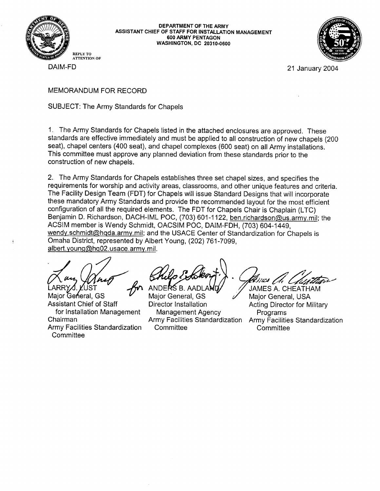

DEPARTMENT OF THE ARMY ASSISTANT CHIEF OF STAFF FOR INSTALLATION MANAGEMENT 600 ARMY PENTAGON **WASHINGTON, DC 20310-0600** 



21 January 2004

DAIM-FD

MEMORANDUM FOR RECORD

**SUBJECT: The Army Standards for Chapels** 

1. The Army Standards for Chapels listed in the attached enclosures are approved. These standards are effective immediately and must be applied to all construction of new chapels (200 seat), chapel centers (400 seat), and chapel complexes (600 seat) on all Army installations. This committee must approve any planned deviation from these standards prior to the construction of new chapels.

2. The Army Standards for Chapels establishes three set chapel sizes, and specifies the requirements for worship and activity areas, classrooms, and other unique features and criteria. The Facility Design Team (FDT) for Chapels will issue Standard Designs that will incorporate these mandatory Army Standards and provide the recommended layout for the most efficient configuration of all the required elements. The FDT for Chapels Chair is Chaplain (LTC) Benjamin D. Richardson, DACH-IML POC, (703) 601-1122, ben.richardson@us.army.mil; the ACSIM member is Wendy Schmidt, OACSIM POC, DAIM-FDH, (703) 604-1449, wendy schmidt@hqda.army.mil; and the USACE Center of Standardization for Chapels is Omaha District, represented by Albert Young, (202) 761-7099, albert.young@hq02.usace.army.mil.

UST

Major General, GS **Assistant Chief of Staff** for Installation Management Chairman Army Facilities Standardization Committee

ANDERS B. AADLA Major General, GS **Director Installation Management Agency** Army Facilities Standardization Committee

inas *l* JAMES A. CHEATHAM Major General, USA

**Acting Director for Military** Programs Army Facilities Standardization Committee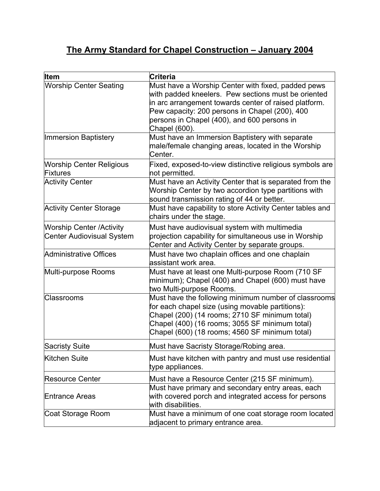## **The Army Standard for Chapel Construction – January 2004**

| <b>Item</b>                                                         | Criteria                                                                                                                                                                                                                                                                             |
|---------------------------------------------------------------------|--------------------------------------------------------------------------------------------------------------------------------------------------------------------------------------------------------------------------------------------------------------------------------------|
| <b>Worship Center Seating</b>                                       | Must have a Worship Center with fixed, padded pews<br>with padded kneelers. Pew sections must be oriented<br>in arc arrangement towards center of raised platform.<br>Pew capacity: 200 persons in Chapel (200), 400<br>persons in Chapel (400), and 600 persons in<br>Chapel (600). |
| <b>Immersion Baptistery</b>                                         | Must have an Immersion Baptistery with separate<br>male/female changing areas, located in the Worship<br>Center.                                                                                                                                                                     |
| <b>Worship Center Religious</b><br><b>Fixtures</b>                  | Fixed, exposed-to-view distinctive religious symbols are<br>not permitted.                                                                                                                                                                                                           |
| <b>Activity Center</b>                                              | Must have an Activity Center that is separated from the<br>Worship Center by two accordion type partitions with<br>sound transmission rating of 44 or better.                                                                                                                        |
| <b>Activity Center Storage</b>                                      | Must have capability to store Activity Center tables and<br>chairs under the stage.                                                                                                                                                                                                  |
| <b>Worship Center /Activity</b><br><b>Center Audiovisual System</b> | Must have audiovisual system with multimedia<br>projection capability for simultaneous use in Worship<br>Center and Activity Center by separate groups.                                                                                                                              |
| <b>Administrative Offices</b>                                       | Must have two chaplain offices and one chaplain<br>assistant work area.                                                                                                                                                                                                              |
| Multi-purpose Rooms                                                 | Must have at least one Multi-purpose Room (710 SF<br>minimum); Chapel (400) and Chapel (600) must have<br>two Multi-purpose Rooms.                                                                                                                                                   |
| <b>Classrooms</b>                                                   | Must have the following minimum number of classrooms<br>for each chapel size (using movable partitions):<br>Chapel (200) (14 rooms; 2710 SF minimum total)<br>Chapel (400) (16 rooms; 3055 SF minimum total)<br>Chapel (600) (18 rooms; 4560 SF minimum total)                       |
| <b>Sacristy Suite</b>                                               | Must have Sacristy Storage/Robing area                                                                                                                                                                                                                                               |
| <b>Kitchen Suite</b>                                                | Must have kitchen with pantry and must use residential<br>type appliances.                                                                                                                                                                                                           |
| <b>Resource Center</b>                                              | Must have a Resource Center (215 SF minimum).                                                                                                                                                                                                                                        |
| <b>Entrance Areas</b>                                               | Must have primary and secondary entry areas, each<br>with covered porch and integrated access for persons<br>with disabilities.                                                                                                                                                      |
| Coat Storage Room                                                   | Must have a minimum of one coat storage room located<br>adjacent to primary entrance area.                                                                                                                                                                                           |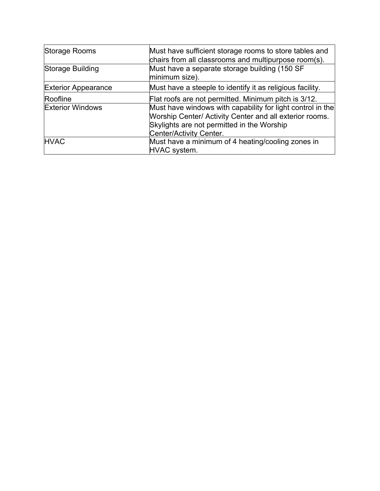| Storage Rooms              | Must have sufficient storage rooms to store tables and<br>chairs from all classrooms and multipurpose room(s).                                                                                 |
|----------------------------|------------------------------------------------------------------------------------------------------------------------------------------------------------------------------------------------|
| Storage Building           | Must have a separate storage building (150 SF<br>minimum size).                                                                                                                                |
| <b>Exterior Appearance</b> | Must have a steeple to identify it as religious facility.                                                                                                                                      |
| Roofline                   | Flat roofs are not permitted. Minimum pitch is 3/12.                                                                                                                                           |
| <b>Exterior Windows</b>    | Must have windows with capability for light control in the<br>Worship Center/ Activity Center and all exterior rooms.<br>Skylights are not permitted in the Worship<br>Center/Activity Center. |
| <b>HVAC</b>                | Must have a minimum of 4 heating/cooling zones in<br>HVAC system.                                                                                                                              |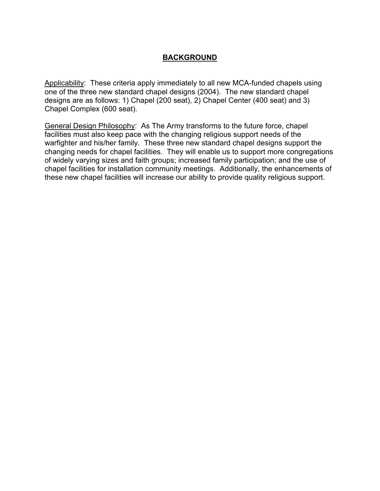## **BACKGROUND**

Applicability: These criteria apply immediately to all new MCA-funded chapels using one of the three new standard chapel designs (2004). The new standard chapel designs are as follows: 1) Chapel (200 seat), 2) Chapel Center (400 seat) and 3) Chapel Complex (600 seat).

General Design Philosophy: As The Army transforms to the future force, chapel facilities must also keep pace with the changing religious support needs of the warfighter and his/her family. These three new standard chapel designs support the changing needs for chapel facilities. They will enable us to support more congregations of widely varying sizes and faith groups; increased family participation; and the use of chapel facilities for installation community meetings. Additionally, the enhancements of these new chapel facilities will increase our ability to provide quality religious support.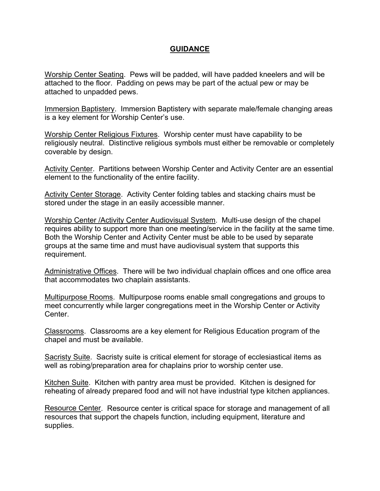## **GUIDANCE**

Worship Center Seating. Pews will be padded, will have padded kneelers and will be attached to the floor. Padding on pews may be part of the actual pew or may be attached to unpadded pews.

Immersion Baptistery. Immersion Baptistery with separate male/female changing areas is a key element for Worship Center's use.

Worship Center Religious Fixtures. Worship center must have capability to be religiously neutral. Distinctive religious symbols must either be removable or completely coverable by design.

Activity Center. Partitions between Worship Center and Activity Center are an essential element to the functionality of the entire facility.

Activity Center Storage. Activity Center folding tables and stacking chairs must be stored under the stage in an easily accessible manner.

Worship Center /Activity Center Audiovisual System. Multi-use design of the chapel requires ability to support more than one meeting/service in the facility at the same time. Both the Worship Center and Activity Center must be able to be used by separate groups at the same time and must have audiovisual system that supports this requirement.

Administrative Offices. There will be two individual chaplain offices and one office area that accommodates two chaplain assistants.

Multipurpose Rooms. Multipurpose rooms enable small congregations and groups to meet concurrently while larger congregations meet in the Worship Center or Activity Center.

Classrooms. Classrooms are a key element for Religious Education program of the chapel and must be available.

Sacristy Suite. Sacristy suite is critical element for storage of ecclesiastical items as well as robing/preparation area for chaplains prior to worship center use.

Kitchen Suite. Kitchen with pantry area must be provided. Kitchen is designed for reheating of already prepared food and will not have industrial type kitchen appliances.

Resource Center. Resource center is critical space for storage and management of all resources that support the chapels function, including equipment, literature and supplies.